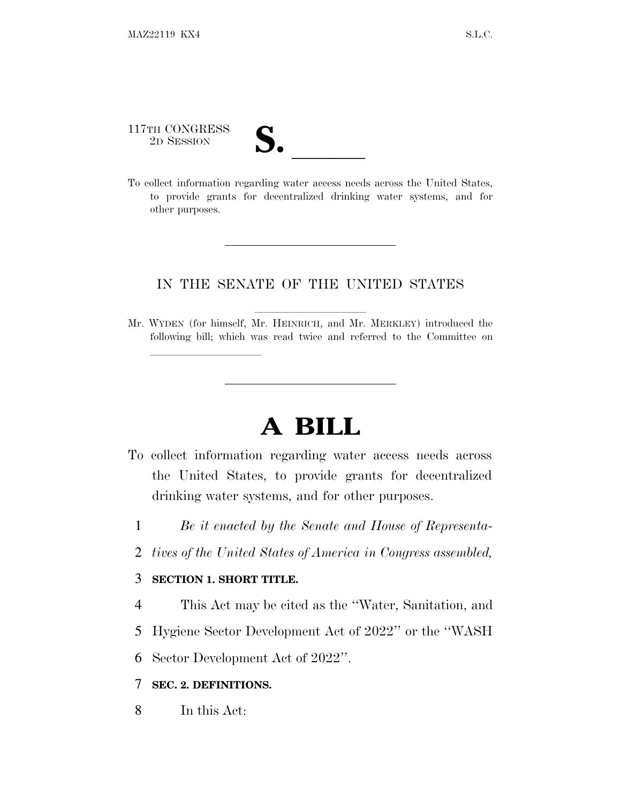117TH CONGRESS

lland and a state of the state of the state of the state of the state of the state of the state of the state o

117TH CONGRESS<br>
2D SESSION<br>
To collect information regarding water access needs across the United States, to provide grants for decentralized drinking water systems, and for other purposes.

## IN THE SENATE OF THE UNITED STATES

Mr. WYDEN (for himself, Mr. HEINRICH, and Mr. MERKLEY) introduced the following bill; which was read twice and referred to the Committee on

## **A BILL**

- To collect information regarding water access needs across the United States, to provide grants for decentralized drinking water systems, and for other purposes.
	- 1 *Be it enacted by the Senate and House of Representa-*
	- 2 *tives of the United States of America in Congress assembled,*

## 3 **SECTION 1. SHORT TITLE.**

- 4 This Act may be cited as the ''Water, Sanitation, and
- 5 Hygiene Sector Development Act of 2022'' or the ''WASH
- 6 Sector Development Act of 2022''.

## 7 **SEC. 2. DEFINITIONS.**

8 In this Act: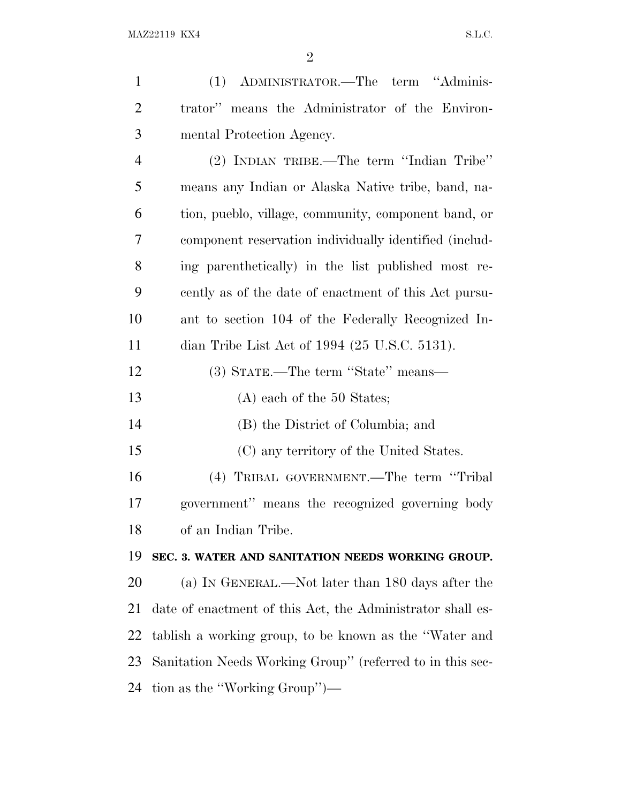| $\mathbf{1}$   | (1) ADMINISTRATOR.—The term "Adminis-                      |
|----------------|------------------------------------------------------------|
| $\overline{2}$ | trator" means the Administrator of the Environ-            |
| 3              | mental Protection Agency.                                  |
| $\overline{4}$ | (2) INDIAN TRIBE.—The term "Indian Tribe"                  |
| 5              | means any Indian or Alaska Native tribe, band, na-         |
| 6              | tion, pueblo, village, community, component band, or       |
| 7              | component reservation individually identified (includ-     |
| 8              | ing parenthetically) in the list published most re-        |
| 9              | cently as of the date of enactment of this Act pursu-      |
| 10             | ant to section 104 of the Federally Recognized In-         |
| 11             | dian Tribe List Act of 1994 (25 U.S.C. 5131).              |
| 12             | (3) STATE.—The term "State" means—                         |
| 13             | $(A)$ each of the 50 States;                               |
| 14             | (B) the District of Columbia; and                          |
| 15             | (C) any territory of the United States.                    |
| 16             | (4) TRIBAL GOVERNMENT.—The term "Tribal                    |
| 17             | government" means the recognized governing body            |
| 18             | of an Indian Tribe.                                        |
| 19             | SEC. 3. WATER AND SANITATION NEEDS WORKING GROUP.          |
| 20             | (a) IN GENERAL.—Not later than 180 days after the          |
| 21             | date of enactment of this Act, the Administrator shall es- |
| 22             | tablish a working group, to be known as the "Water and     |
| 23             | Sanitation Needs Working Group" (referred to in this sec-  |
| 24             | tion as the "Working Group")—                              |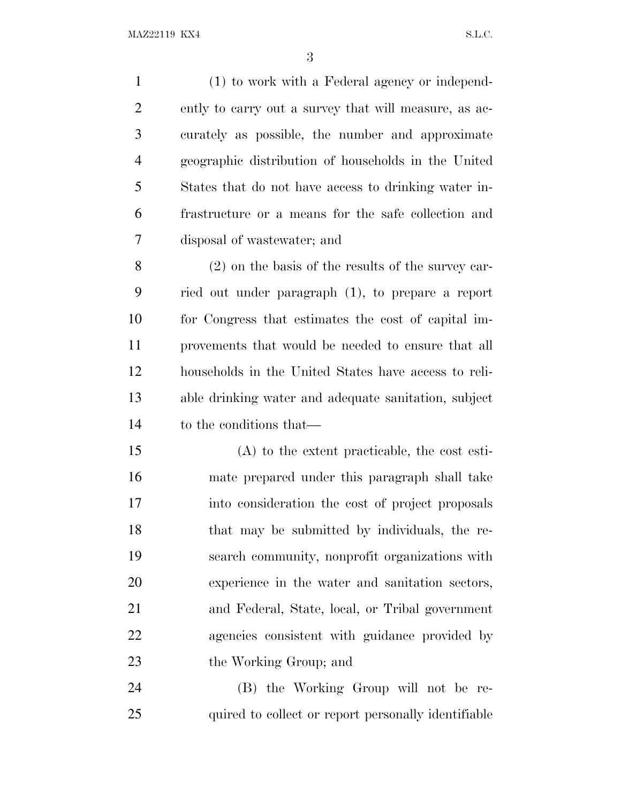(1) to work with a Federal agency or independ- ently to carry out a survey that will measure, as ac- curately as possible, the number and approximate geographic distribution of households in the United States that do not have access to drinking water in- frastructure or a means for the safe collection and disposal of wastewater; and (2) on the basis of the results of the survey car-

 ried out under paragraph (1), to prepare a report for Congress that estimates the cost of capital im- provements that would be needed to ensure that all households in the United States have access to reli- able drinking water and adequate sanitation, subject to the conditions that—

 (A) to the extent practicable, the cost esti- mate prepared under this paragraph shall take into consideration the cost of project proposals that may be submitted by individuals, the re- search community, nonprofit organizations with experience in the water and sanitation sectors, and Federal, State, local, or Tribal government agencies consistent with guidance provided by 23 the Working Group; and

 (B) the Working Group will not be re-25 quired to collect or report personally identifiable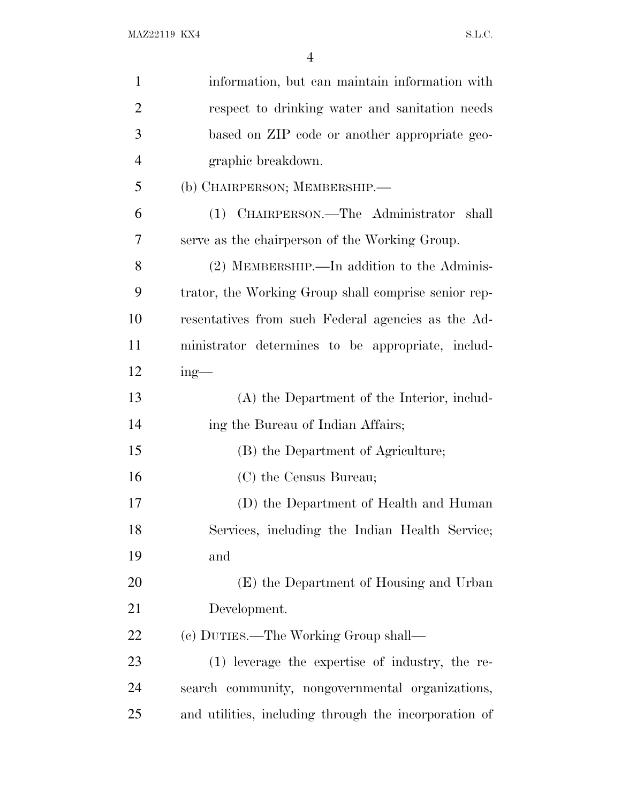| $\mathbf{1}$   | information, but can maintain information with        |
|----------------|-------------------------------------------------------|
| $\overline{2}$ | respect to drinking water and sanitation needs        |
| 3              | based on ZIP code or another appropriate geo-         |
| $\overline{4}$ | graphic breakdown.                                    |
| 5              | (b) CHAIRPERSON; MEMBERSHIP.—                         |
| 6              | (1) CHAIRPERSON.—The Administrator shall              |
| 7              | serve as the chairperson of the Working Group.        |
| 8              | (2) MEMBERSHIP.—In addition to the Adminis-           |
| 9              | trator, the Working Group shall comprise senior rep-  |
| 10             | resentatives from such Federal agencies as the Ad-    |
| 11             | ministrator determines to be appropriate, includ-     |
| 12             | $ing$ —                                               |
| 13             | (A) the Department of the Interior, includ-           |
| 14             | ing the Bureau of Indian Affairs;                     |
| 15             | (B) the Department of Agriculture;                    |
| 16             | (C) the Census Bureau;                                |
| 17             | (D) the Department of Health and Human                |
| 18             | Services, including the Indian Health Service;        |
| 19             | and                                                   |
| 20             | (E) the Department of Housing and Urban               |
| 21             | Development.                                          |
| 22             | (c) DUTIES.—The Working Group shall—                  |
| 23             | (1) leverage the expertise of industry, the re-       |
| 24             | search community, nongovernmental organizations,      |
| 25             | and utilities, including through the incorporation of |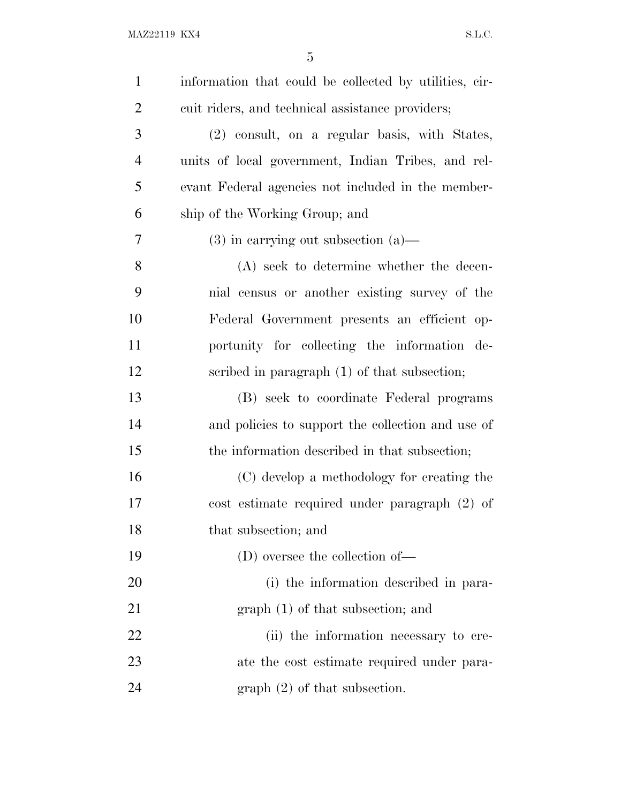| $\mathbf{1}$   | information that could be collected by utilities, cir- |
|----------------|--------------------------------------------------------|
| $\overline{2}$ | cuit riders, and technical assistance providers;       |
| 3              | (2) consult, on a regular basis, with States,          |
| $\overline{4}$ | units of local government, Indian Tribes, and rel-     |
| 5              | evant Federal agencies not included in the member-     |
| 6              | ship of the Working Group; and                         |
| 7              | $(3)$ in carrying out subsection $(a)$ —               |
| 8              | (A) seek to determine whether the decen-               |
| 9              | nial census or another existing survey of the          |
| 10             | Federal Government presents an efficient op-           |
| 11             | portunity for collecting the information de-           |
| 12             | scribed in paragraph (1) of that subsection;           |
| 13             | (B) seek to coordinate Federal programs                |
| 14             | and policies to support the collection and use of      |
| 15             | the information described in that subsection;          |
| 16             | (C) develop a methodology for creating the             |
| 17             | $\cos t$ estimate required under paragraph $(2)$ of    |
| 18             | that subsection; and                                   |
| 19             | (D) oversee the collection of—                         |
| 20             | (i) the information described in para-                 |
| 21             | $graph(1)$ of that subsection; and                     |
| 22             | (ii) the information necessary to cre-                 |
| 23             | ate the cost estimate required under para-             |
| 24             | $graph (2)$ of that subsection.                        |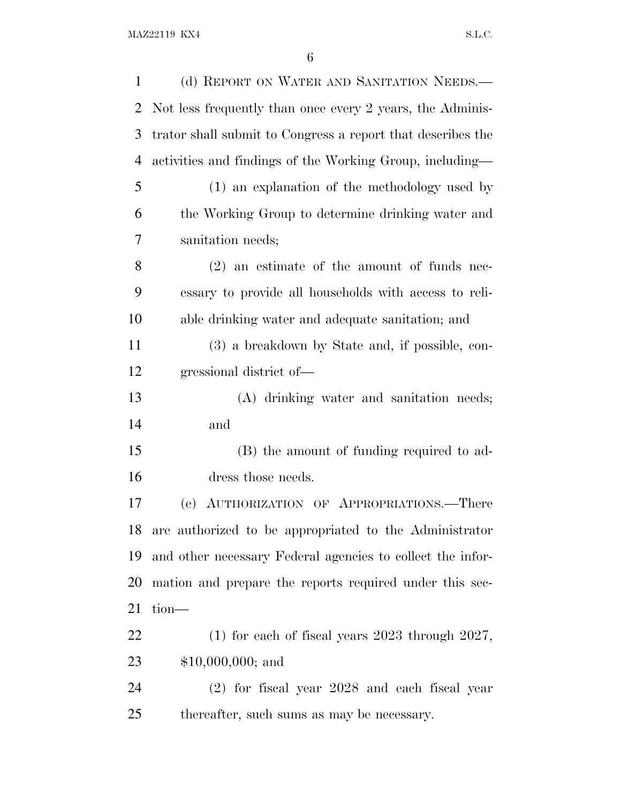| $\mathbf{1}$   | (d) REPORT ON WATER AND SANITATION NEEDS.—                  |
|----------------|-------------------------------------------------------------|
| $\overline{2}$ | Not less frequently than once every 2 years, the Adminis-   |
| 3              | trator shall submit to Congress a report that describes the |
| $\overline{4}$ | activities and findings of the Working Group, including—    |
| 5              | (1) an explanation of the methodology used by               |
| 6              | the Working Group to determine drinking water and           |
| 7              | sanitation needs;                                           |
| 8              | $(2)$ an estimate of the amount of funds nec-               |
| 9              | essary to provide all households with access to reli-       |
| 10             | able drinking water and adequate sanitation; and            |
| 11             | (3) a breakdown by State and, if possible, con-             |
| 12             | gressional district of-                                     |
| 13             | (A) drinking water and sanitation needs;                    |
| 14             | and                                                         |
| 15             | (B) the amount of funding required to ad-                   |
| 16             | dress those needs.                                          |
| 17             | (e) AUTHORIZATION OF APPROPRIATIONS.—There                  |
|                | 18 are authorized to be appropriated to the Administrator   |
| 19             | and other necessary Federal agencies to collect the infor-  |
| 20             | mation and prepare the reports required under this sec-     |
| 21             | $tion$ —                                                    |
| 22             | $(1)$ for each of fiscal years 2023 through 2027,           |
| 23             | $$10,000,000;$ and                                          |
| 24             | $(2)$ for fiscal year $2028$ and each fiscal year           |
| 25             | thereafter, such sums as may be necessary.                  |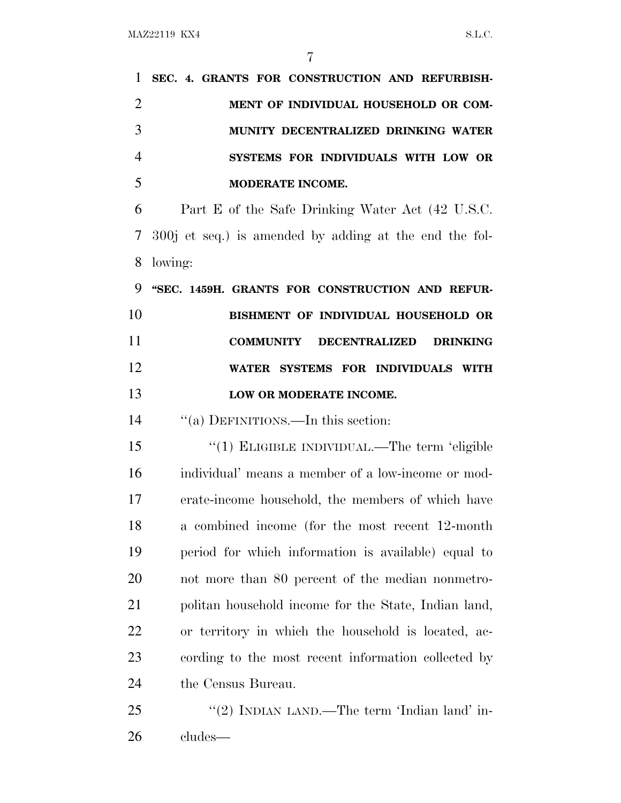| 1              | SEC. 4. GRANTS FOR CONSTRUCTION AND REFURBISH-              |
|----------------|-------------------------------------------------------------|
| $\overline{2}$ | MENT OF INDIVIDUAL HOUSEHOLD OR COM-                        |
| 3              | MUNITY DECENTRALIZED DRINKING WATER                         |
| 4              | SYSTEMS FOR INDIVIDUALS WITH LOW OR                         |
| 5              | MODERATE INCOME.                                            |
| 6              | Part E of the Safe Drinking Water Act (42 U.S.C.            |
| 7              | 300j et seq.) is amended by adding at the end the fol-      |
| 8              | lowing:                                                     |
| 9              | "SEC. 1459H. GRANTS FOR CONSTRUCTION AND REFUR-             |
| 10             | BISHMENT OF INDIVIDUAL HOUSEHOLD OR                         |
| 11             | <b>COMMUNITY</b><br><b>DECENTRALIZED</b><br><b>DRINKING</b> |
| 12             | WATER SYSTEMS FOR INDIVIDUALS WITH                          |
| 13             | LOW OR MODERATE INCOME.                                     |
| 14             | "(a) DEFINITIONS.—In this section:                          |
| 15             | "(1) ELIGIBLE INDIVIDUAL.—The term 'eligible                |
| 16             | individual' means a member of a low-income or mod-          |
| 17             | erate-income household, the members of which have           |
| 18             | a combined income (for the most recent 12-month             |
| 19             | period for which information is available) equal to         |
| <b>20</b>      | not more than 80 percent of the median nonmetro-            |
| 21             | politan household income for the State, Indian land,        |
| 22             | or territory in which the household is located, ac-         |
| 23             | cording to the most recent information collected by         |
| 24             | the Census Bureau.                                          |
| 25             | "(2) INDIAN LAND.—The term 'Indian land' in-                |
| 26             | cludes—                                                     |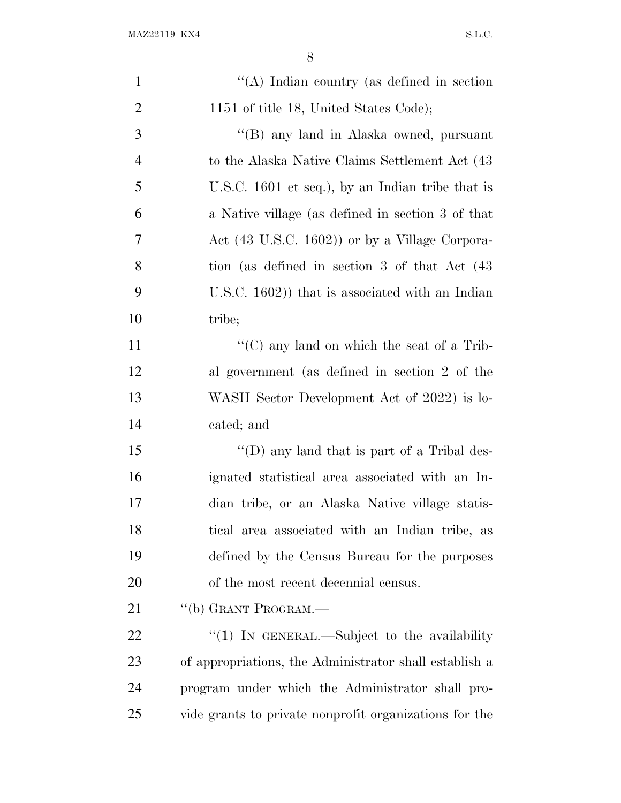| $\mathbf{1}$   | "(A) Indian country (as defined in section             |
|----------------|--------------------------------------------------------|
| $\overline{2}$ | 1151 of title 18, United States Code);                 |
| 3              | "(B) any land in Alaska owned, pursuant                |
| $\overline{4}$ | to the Alaska Native Claims Settlement Act (43)        |
| 5              | U.S.C. $1601$ et seq.), by an Indian tribe that is     |
| 6              | a Native village (as defined in section 3 of that      |
| 7              | Act (43 U.S.C. 1602)) or by a Village Corpora-         |
| 8              | tion (as defined in section 3 of that Act (43)         |
| 9              | U.S.C. $1602$ ) that is associated with an Indian      |
| 10             | tribe;                                                 |
| 11             | " $(C)$ any land on which the seat of a Trib-          |
| 12             | al government (as defined in section 2 of the          |
| 13             | WASH Sector Development Act of 2022) is lo-            |
| 14             | cated; and                                             |
| 15             | "(D) any land that is part of a Tribal des-            |
| 16             | ignated statistical area associated with an In-        |
| 17             | dian tribe, or an Alaska Native village statis-        |
| 18             | tical area associated with an Indian tribe, as         |
| 19             | defined by the Census Bureau for the purposes          |
| 20             | of the most recent decennial census.                   |
| 21             | "(b) GRANT PROGRAM.—                                   |
| 22             | "(1) IN GENERAL.—Subject to the availability           |
| 23             | of appropriations, the Administrator shall establish a |
| 24             | program under which the Administrator shall pro-       |
| 25             | vide grants to private nonprofit organizations for the |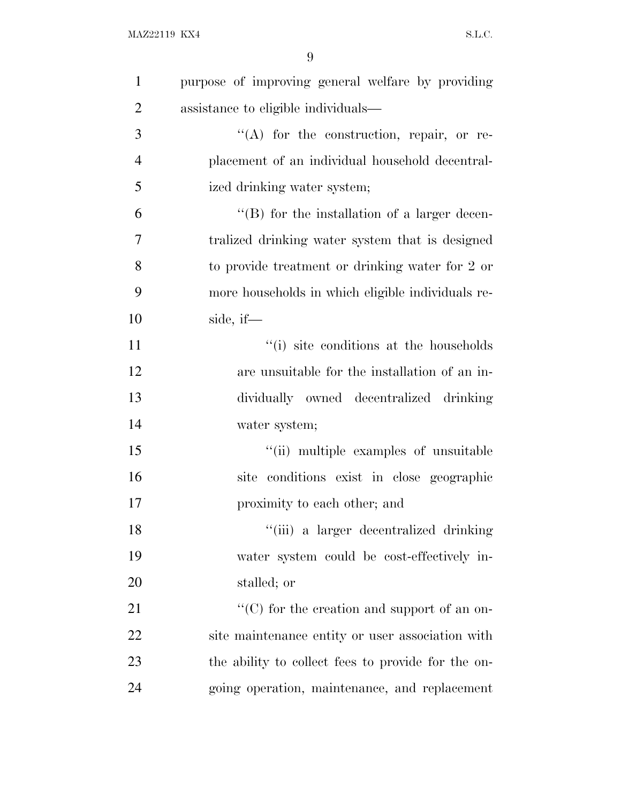| $\mathbf{1}$   | purpose of improving general welfare by providing  |
|----------------|----------------------------------------------------|
| $\overline{2}$ | assistance to eligible individuals—                |
| 3              | $\lq\lq$ for the construction, repair, or re-      |
| $\overline{4}$ | placement of an individual household decentral-    |
| 5              | ized drinking water system;                        |
| 6              | "(B) for the installation of a larger decen-       |
| $\tau$         | tralized drinking water system that is designed    |
| 8              | to provide treatment or drinking water for 2 or    |
| 9              | more households in which eligible individuals re-  |
| 10             | side, if-                                          |
| 11             | "(i) site conditions at the households             |
| 12             | are unsuitable for the installation of an in-      |
| 13             | dividually owned decentralized drinking            |
| 14             | water system;                                      |
| 15             | "(ii) multiple examples of unsuitable              |
| 16             | site conditions exist in close geographic          |
| 17             | proximity to each other; and                       |
| 18             | "(iii) a larger decentralized drinking             |
| 19             | water system could be cost-effectively in-         |
| <b>20</b>      | stalled; or                                        |
| 21             | " $(C)$ for the creation and support of an on-     |
| 22             | site maintenance entity or user association with   |
| 23             | the ability to collect fees to provide for the on- |
| 24             | going operation, maintenance, and replacement      |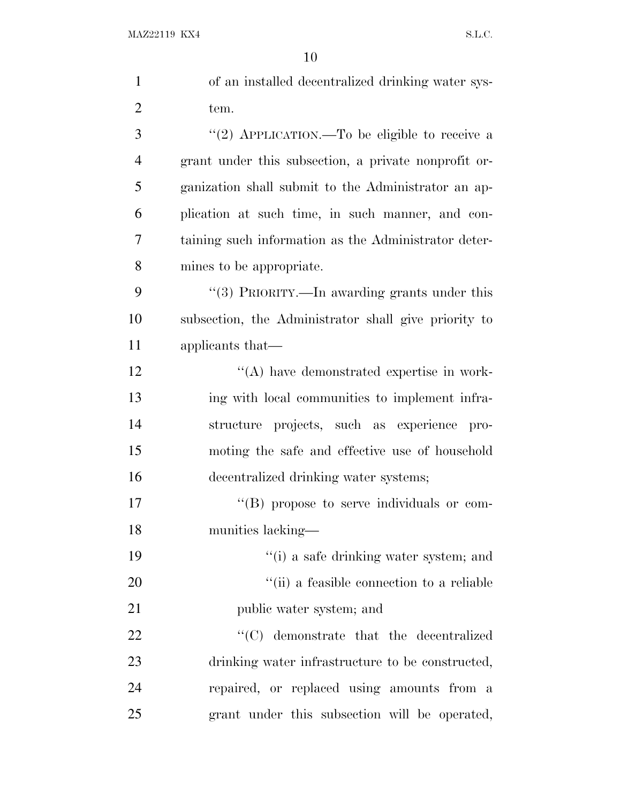| $\mathbf{1}$   | of an installed decentralized drinking water sys-    |
|----------------|------------------------------------------------------|
| $\overline{c}$ | tem.                                                 |
| 3              | "(2) APPLICATION.—To be eligible to receive a        |
| 4              | grant under this subsection, a private nonprofit or- |
| 5              | ganization shall submit to the Administrator an ap-  |
| 6              | plication at such time, in such manner, and con-     |
| 7              | taining such information as the Administrator deter- |
| 8              | mines to be appropriate.                             |
| 9              | "(3) PRIORITY.—In awarding grants under this         |
| 10             | subsection, the Administrator shall give priority to |
| 11             | applicants that—                                     |
| 12             | $\lq\lq$ have demonstrated expertise in work-        |
| 13             | ing with local communities to implement infra-       |
| 14             | structure projects, such as experience pro-          |
| 15             | moting the safe and effective use of household       |
| 16             | decentralized drinking water systems;                |
| 17             | "(B) propose to serve individuals or com-            |
| 18             | munities lacking-                                    |
| 19             | "(i) a safe drinking water system; and               |
| 20             | "(ii) a feasible connection to a reliable            |
| 21             | public water system; and                             |
| 22             | $\cdot$ (C) demonstrate that the decentralized       |
| 23             | drinking water infrastructure to be constructed,     |
| 24             | repaired, or replaced using amounts from a           |
| 25             | grant under this subsection will be operated,        |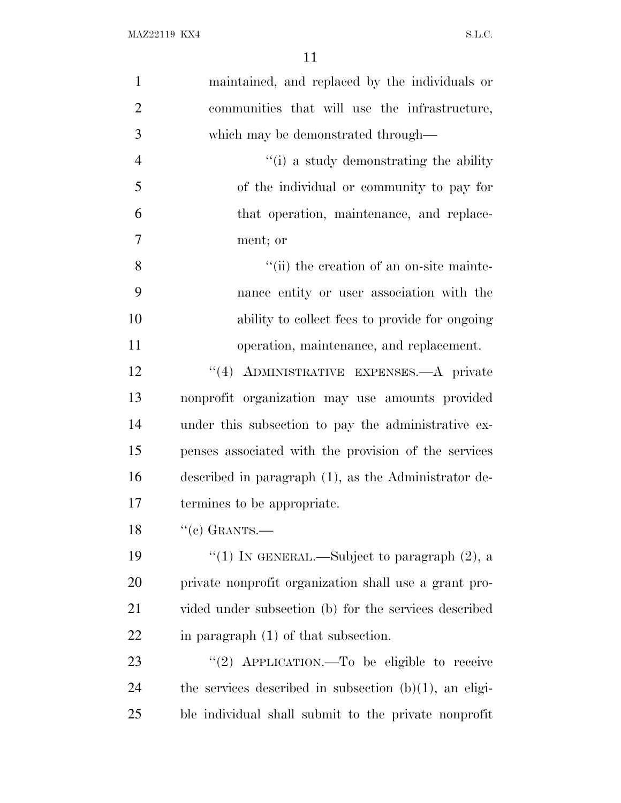| $\mathbf{1}$   | maintained, and replaced by the individuals or            |
|----------------|-----------------------------------------------------------|
| $\overline{2}$ | communities that will use the infrastructure,             |
| 3              | which may be demonstrated through-                        |
| $\overline{4}$ | "(i) a study demonstrating the ability                    |
| 5              | of the individual or community to pay for                 |
| 6              | that operation, maintenance, and replace-                 |
| $\overline{7}$ | ment; or                                                  |
| 8              | "(ii) the creation of an on-site mainte-                  |
| 9              | nance entity or user association with the                 |
| 10             | ability to collect fees to provide for ongoing            |
| 11             | operation, maintenance, and replacement.                  |
| 12             | ADMINISTRATIVE EXPENSES.—A private<br>(4)                 |
| 13             | nonprofit organization may use amounts provided           |
| 14             | under this subsection to pay the administrative ex-       |
| 15             | penses associated with the provision of the services      |
| 16             | described in paragraph (1), as the Administrator de-      |
| 17             | termines to be appropriate.                               |
| 18             | $``(e)$ GRANTS.—                                          |
| 19             | "(1) IN GENERAL.—Subject to paragraph $(2)$ , a           |
| 20             | private nonprofit organization shall use a grant pro-     |
| 21             | vided under subsection (b) for the services described     |
| 22             | in paragraph $(1)$ of that subsection.                    |
| 23             | "(2) APPLICATION.—To be eligible to receive               |
| 24             | the services described in subsection $(b)(1)$ , an eligi- |
| 25             | ble individual shall submit to the private nonprofit      |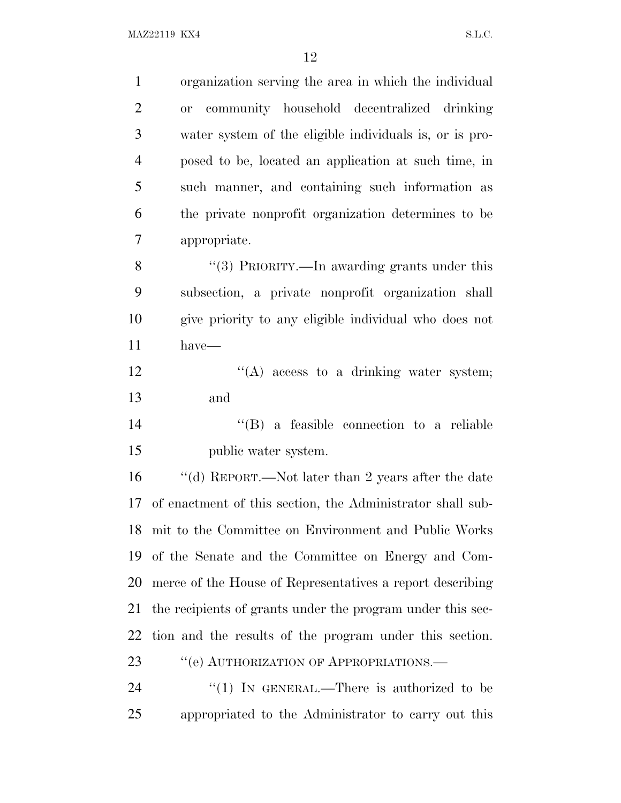| $\mathbf{1}$   | organization serving the area in which the individual      |
|----------------|------------------------------------------------------------|
| $\overline{2}$ | community household decentralized drinking<br><b>or</b>    |
| 3              | water system of the eligible individuals is, or is pro-    |
| $\overline{4}$ | posed to be, located an application at such time, in       |
| 5              | such manner, and containing such information as            |
| 6              | the private nonprofit organization determines to be        |
| 7              | appropriate.                                               |
| 8              | "(3) PRIORITY.—In awarding grants under this               |
| 9              | subsection, a private nonprofit organization shall         |
| 10             | give priority to any eligible individual who does not      |
| 11             | $have-$                                                    |
| 12             | $\lq\lq$ access to a drinking water system;                |
| 13             | and                                                        |
| 14             | "(B) a feasible connection to a reliable                   |
| 15             | public water system.                                       |
| 16             | "(d) REPORT.—Not later than 2 years after the date         |
| 17             | of enactment of this section, the Administrator shall sub- |
| 18             | mit to the Committee on Environment and Public Works       |
| 19             | of the Senate and the Committee on Energy and Com-         |
| 20             | merce of the House of Representatives a report describing  |
| 21             | the recipients of grants under the program under this sec- |
| 22             | tion and the results of the program under this section.    |
| 23             | "(e) AUTHORIZATION OF APPROPRIATIONS.—                     |
| 24             | "(1) IN GENERAL.—There is authorized to be                 |
| 25             | appropriated to the Administrator to carry out this        |